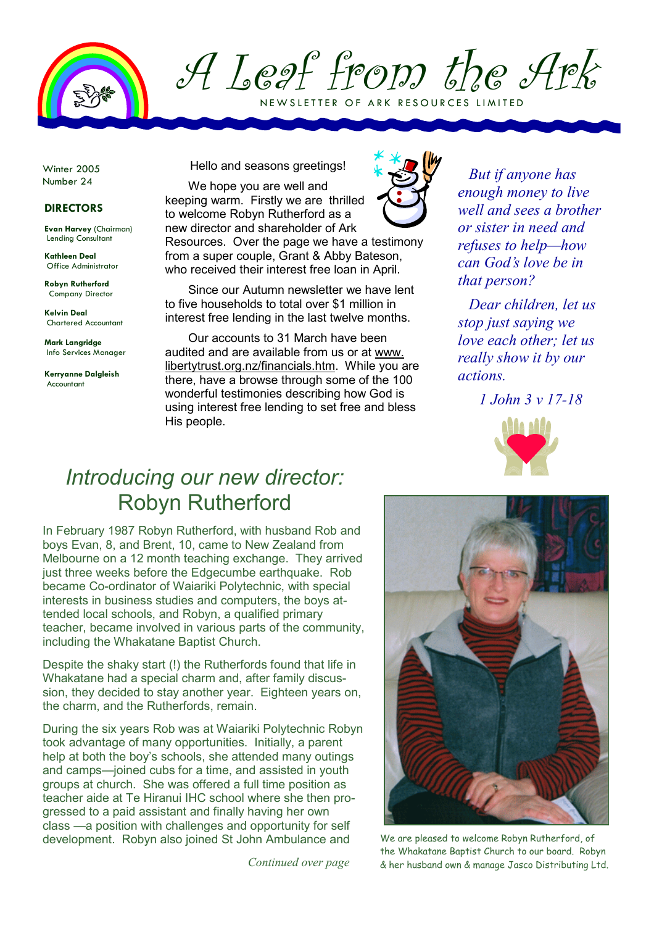

A Leaf from the Ark NEWSLETTER OF ARK RESOURCES LIMITED

Winter 2005 Number 24

#### DIRECTORS

Evan Harvey (Chairman) Lending Consultant

Kathleen Deal Office Administrator

Robyn Rutherford Company Director

Kelvin Deal Chartered Accountant

Mark Langridge Info Services Manager

Kerryanne Dalgleish Accountant

Hello and seasons greetings!

We hope you are well and keeping warm. Firstly we are thrilled to welcome Robyn Rutherford as a new director and shareholder of Ark Resources. Over the page we have a testimony from a super couple, Grant & Abby Bateson, who received their interest free loan in April.

Since our Autumn newsletter we have lent to five households to total over \$1 million in interest free lending in the last twelve months.

Our accounts to 31 March have been audited and are available from us or at www. libertytrust.org.nz/financials.htm. While you are there, have a browse through some of the 100 wonderful testimonies describing how God is using interest free lending to set free and bless His people.



Dear children, let us stop just saying we love each other; let us really show it by our actions.

1 John 3 v 17-18



# Introducing our new director: Robyn Rutherford

In February 1987 Robyn Rutherford, with husband Rob and boys Evan, 8, and Brent, 10, came to New Zealand from Melbourne on a 12 month teaching exchange. They arrived just three weeks before the Edgecumbe earthquake. Rob became Co-ordinator of Waiariki Polytechnic, with special interests in business studies and computers, the boys attended local schools, and Robyn, a qualified primary teacher, became involved in various parts of the community, including the Whakatane Baptist Church.

Despite the shaky start (!) the Rutherfords found that life in Whakatane had a special charm and, after family discussion, they decided to stay another year. Eighteen years on, the charm, and the Rutherfords, remain.

During the six years Rob was at Waiariki Polytechnic Robyn took advantage of many opportunities. Initially, a parent help at both the boy's schools, she attended many outings and camps—joined cubs for a time, and assisted in youth groups at church. She was offered a full time position as teacher aide at Te Hiranui IHC school where she then progressed to a paid assistant and finally having her own class —a position with challenges and opportunity for self development. Robyn also joined St John Ambulance and

Continued over page



We are pleased to welcome Robyn Rutherford, of the Whakatane Baptist Church to our board. Robyn & her husband own & manage Jasco Distributing Ltd.